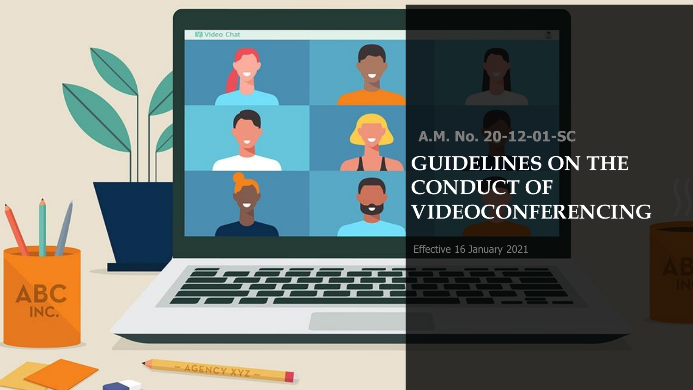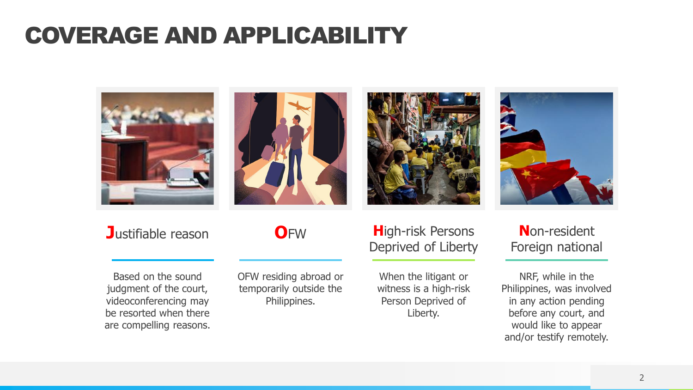### COVERAGE AND APPLICABILITY



Based on the sound judgment of the court, videoconferencing may be resorted when there are compelling reasons.

#### OFW residing abroad or temporarily outside the Philippines.

Deprived of Liberty

When the litigant or witness is a high-risk Person Deprived of Liberty.

Foreign national

NRF, while in the Philippines, was involved in any action pending before any court, and would like to appear and/or testify remotely.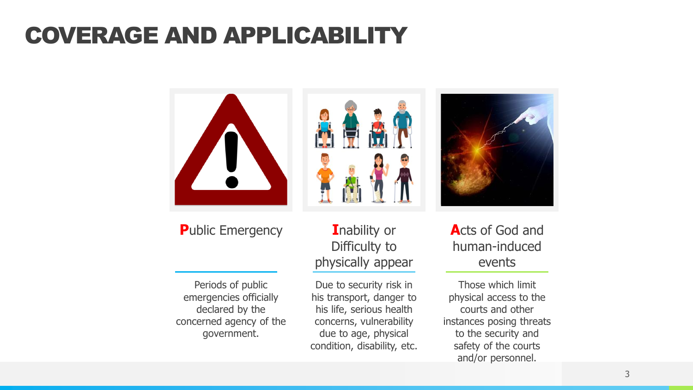### COVERAGE AND APPLICABILITY



**P**ublic Emergency

Periods of public emergencies officially declared by the concerned agency of the government.

**I**nability or Difficulty to physically appear

Due to security risk in his transport, danger to his life, serious health concerns, vulnerability due to age, physical condition, disability, etc.



**A**cts of God and human-induced events

Those which limit physical access to the courts and other instances posing threats to the security and safety of the courts and/or personnel.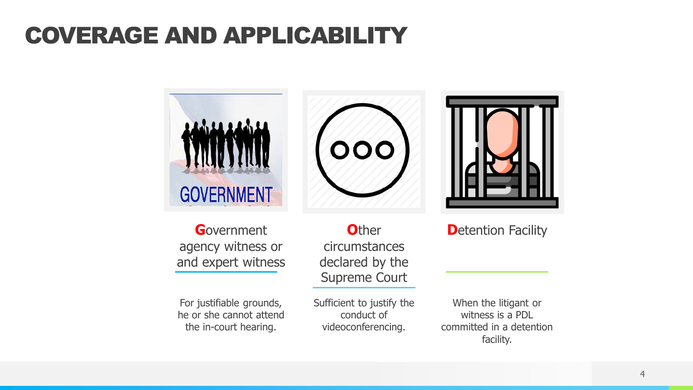### COVERAGE AND APPLICABILITY



**G**overnment agency witness or and expert witness

For justifiable grounds, he or she cannot attend the in-court hearing.

**O**ther circumstances declared by the Supreme Court

Sufficient to justify the conduct of videoconferencing.

When the litigant or witness is a PDL committed in a detention facility.

**D**etention Facility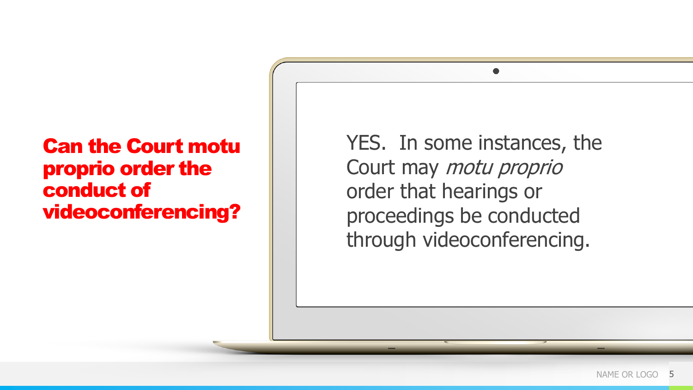#### Can the Court motu proprio order the conduct of videoconferencing?

YES. In some instances, the Court may motu proprio order that hearings or proceedings be conducted through videoconferencing.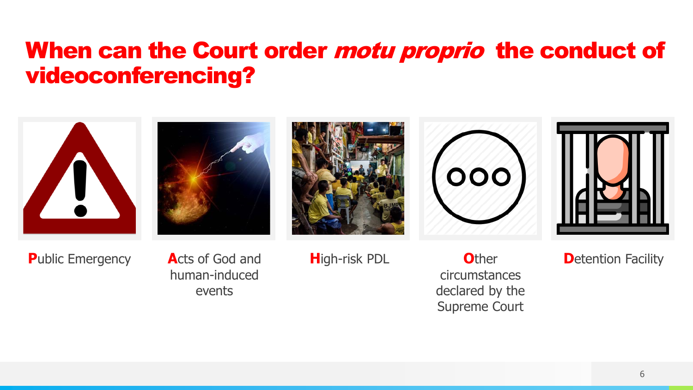#### When can the Court order *motu proprio* the conduct of videoconferencing?





human-induced events

circumstances declared by the Supreme Court

**D**etention Facility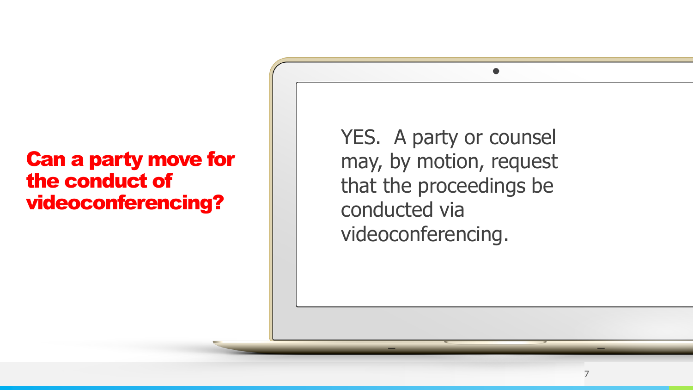#### Can a party move for the conduct of videoconferencing?

YES. A party or counsel may, by motion, request that the proceedings be conducted via videoconferencing.

7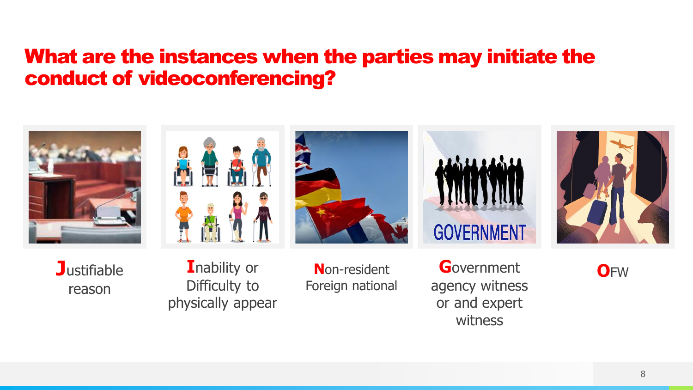#### What are the instances when the parties may initiate the conduct of videoconferencing?











**J**ustifiable reason

**I**nability or Difficulty to physically appear

Foreign national

**G**overnment **N**on-resident **O**FW agency witness or and expert witness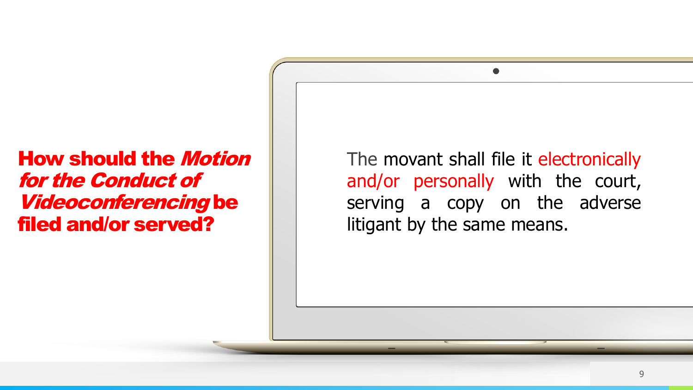#### How should the Motion for the Conduct of Videoconferencing be filed and/or served?

The movant shall file it electronically and/or personally with the court, serving a copy on the adverse litigant by the same means.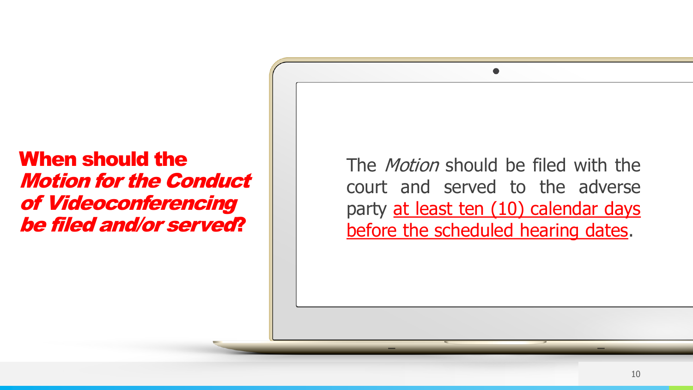#### When should the Motion for the Conduct of Videoconferencing be filed and/or served?

The *Motion* should be filed with the court and served to the adverse party at least ten (10) calendar days before the scheduled hearing dates.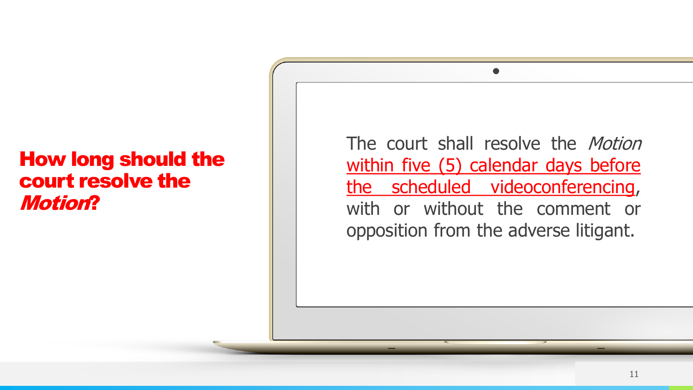#### How long should the court resolve the Motion?

The court shall resolve the *Motion* within five (5) calendar days before the scheduled videoconferencing, with or without the comment or opposition from the adverse litigant.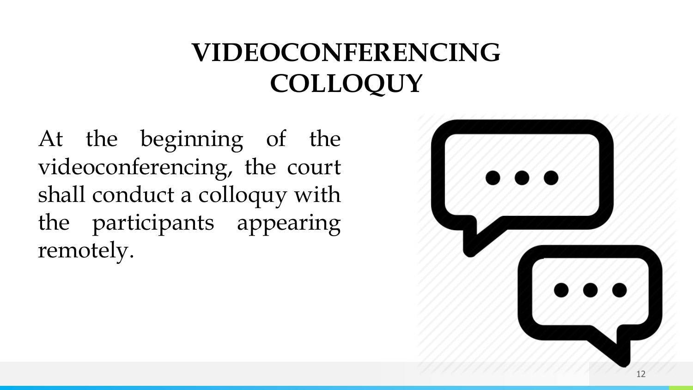## **VIDEOCONFERENCING COLLOQUY**

At the beginning of the videoconferencing, the court shall conduct a colloquy with the participants appearing remotely.

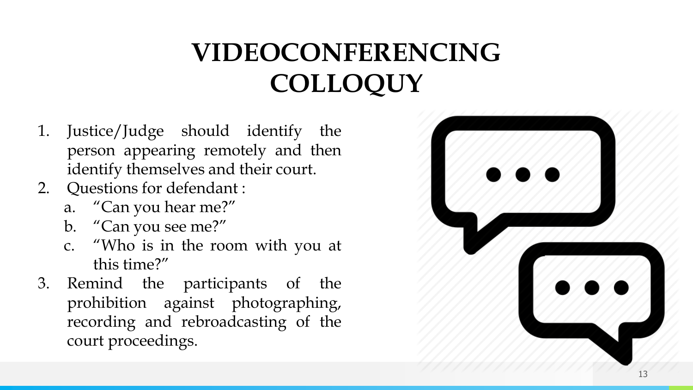## **VIDEOCONFERENCING COLLOQUY**

- 1. Justice/Judge should identify the person appearing remotely and then identify themselves and their court.
- 2. Questions for defendant :
	- a. "Can you hear me?"
	- b. "Can you see me?"
	- c. "Who is in the room with you at this time?"
- 3. Remind the participants of the prohibition against photographing, recording and rebroadcasting of the court proceedings.

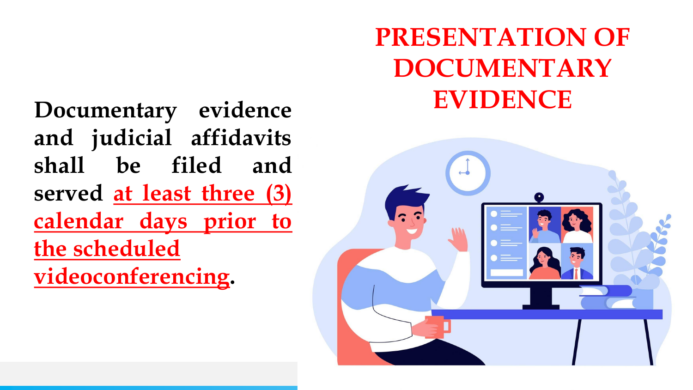**Documentary EVIDENCE evidence and judicial affidavits shall be filed and served at least three (3) calendar days prior to the scheduled videoconferencing.**

# **PRESENTATION OF DOCUMENTARY**

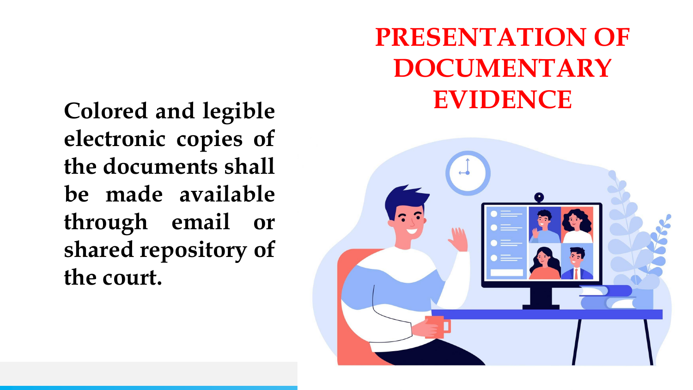**EVIDENCE Colored and legible electronic copies of the documents shall be made available through email or shared repository of the court.**

# **PRESENTATION OF DOCUMENTARY**

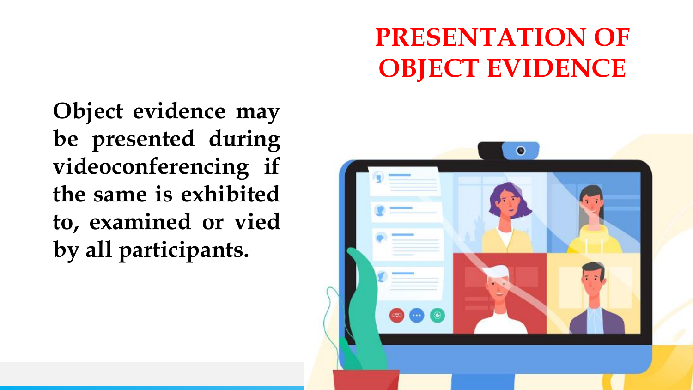### **PRESENTATION OF OBJECT EVIDENCE**

**Object evidence may be presented during videoconferencing if the same is exhibited to, examined or vied by all participants.**

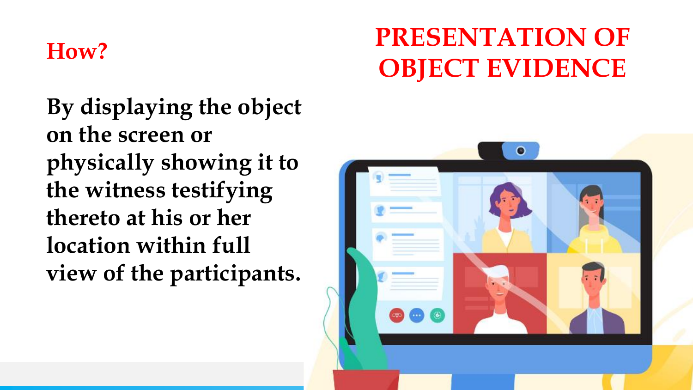#### **How?**

**By displaying the object on the screen or physically showing it to the witness testifying thereto at his or her location within full view of the participants.**

## **PRESENTATION OF OBJECT EVIDENCE**